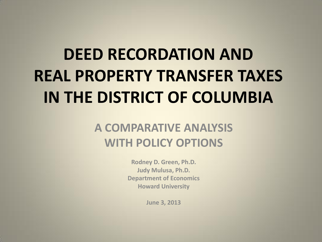# **DEED RECORDATION AND REAL PROPERTY TRANSFER TAXES IN THE DISTRICT OF COLUMBIA**

#### **A COMPARATIVE ANALYSIS WITH POLICY OPTIONS**

**Rodney D. Green, Ph.D. Judy Mulusa, Ph.D. Department of Economics Howard University**

**June 3, 2013**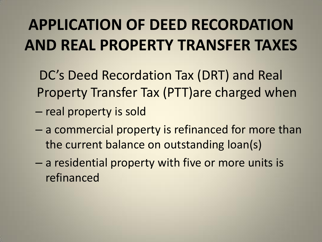## **APPLICATION OF DEED RECORDATION AND REAL PROPERTY TRANSFER TAXES**

DC's Deed Recordation Tax (DRT) and Real Property Transfer Tax (PTT)are charged when – real property is sold

- a commercial property is refinanced for more than the current balance on outstanding loan(s)
- a residential property with five or more units is refinanced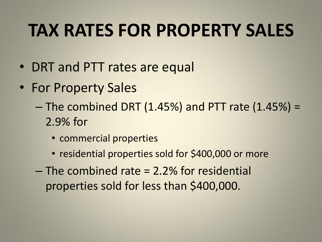## **TAX RATES FOR PROPERTY SALES**

- DRT and PTT rates are equal
- For Property Sales
	- $-$  The combined DRT (1.45%) and PTT rate (1.45%) = 2.9% for
		- commercial properties
		- residential properties sold for \$400,000 or more
	- The combined rate = 2.2% for residential properties sold for less than \$400,000.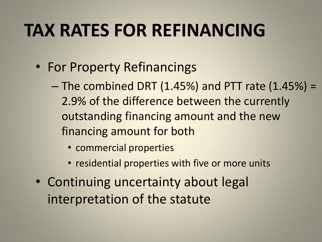## **TAX RATES FOR REFINANCING**

- For Property Refinancings
	- $-$  The combined DRT (1.45%) and PTT rate (1.45%) = 2.9% of the difference between the currently outstanding financing amount and the new financing amount for both
		- commercial properties
		- residential properties with five or more units
- Continuing uncertainty about legal interpretation of the statute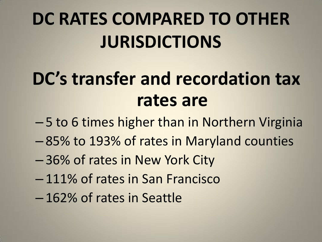# **DC RATES COMPARED TO OTHER JURISDICTIONS**

# **DC's transfer and recordation tax rates are**

- 5 to 6 times higher than in Northern Virginia
- 85% to 193% of rates in Maryland counties
- 36% of rates in New York City
- 111% of rates in San Francisco
- 162% of rates in Seattle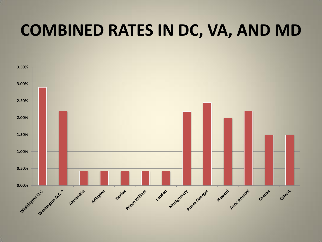#### **COMBINED RATES IN DC, VA, AND MD**

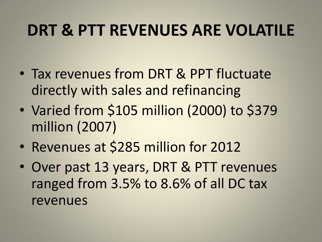### **DRT & PTT REVENUES ARE VOLATILE**

- Tax revenues from DRT & PPT fluctuate directly with sales and refinancing
- Varied from \$105 million (2000) to \$379 million (2007)
- Revenues at \$285 million for 2012
- Over past 13 years, DRT & PTT revenues ranged from 3.5% to 8.6% of all DC tax revenues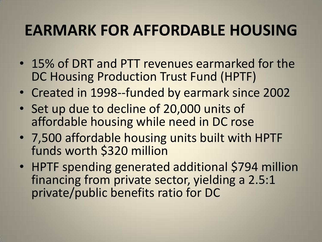#### **EARMARK FOR AFFORDABLE HOUSING**

- 15% of DRT and PTT revenues earmarked for the DC Housing Production Trust Fund (HPTF)
- Created in 1998--funded by earmark since 2002
- Set up due to decline of 20,000 units of affordable housing while need in DC rose
- 7,500 affordable housing units built with HPTF funds worth \$320 million
- HPTF spending generated additional \$794 million financing from private sector, yielding a 2.5:1 private/public benefits ratio for DC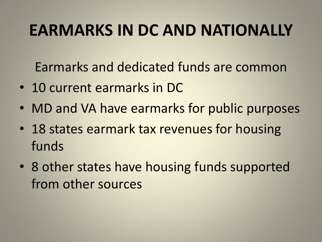### **EARMARKS IN DC AND NATIONALLY**

Earmarks and dedicated funds are common

- 10 current earmarks in DC
- MD and VA have earmarks for public purposes
- 18 states earmark tax revenues for housing funds
- 8 other states have housing funds supported from other sources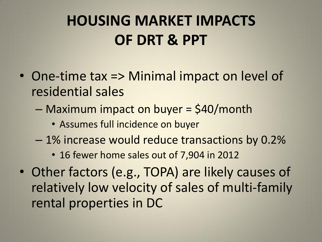### **HOUSING MARKET IMPACTS OF DRT & PPT**

- One-time tax => Minimal impact on level of residential sales
	- Maximum impact on buyer = \$40/month
		- Assumes full incidence on buyer
	- 1% increase would reduce transactions by 0.2%
		- 16 fewer home sales out of 7,904 in 2012
- Other factors (e.g., TOPA) are likely causes of relatively low velocity of sales of multi-family rental properties in DC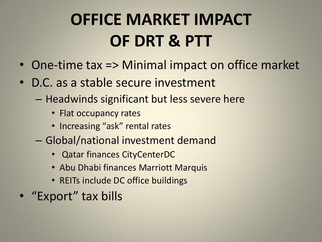# **OFFICE MARKET IMPACT OF DRT & PTT**

- One-time tax => Minimal impact on office market
- D.C. as a stable secure investment
	- Headwinds significant but less severe here
		- Flat occupancy rates
		- Increasing "ask" rental rates
	- Global/national investment demand
		- Qatar finances CityCenterDC
		- Abu Dhabi finances Marriott Marquis
		- REITs include DC office buildings
- "Export" tax bills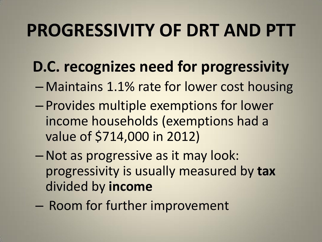## **PROGRESSIVITY OF DRT AND PTT**

- **D.C. recognizes need for progressivity**
- Maintains 1.1% rate for lower cost housing
- Provides multiple exemptions for lower income households (exemptions had a value of \$714,000 in 2012)
- –Not as progressive as it may look: progressivity is usually measured by **tax** divided by **income**
- Room for further improvement